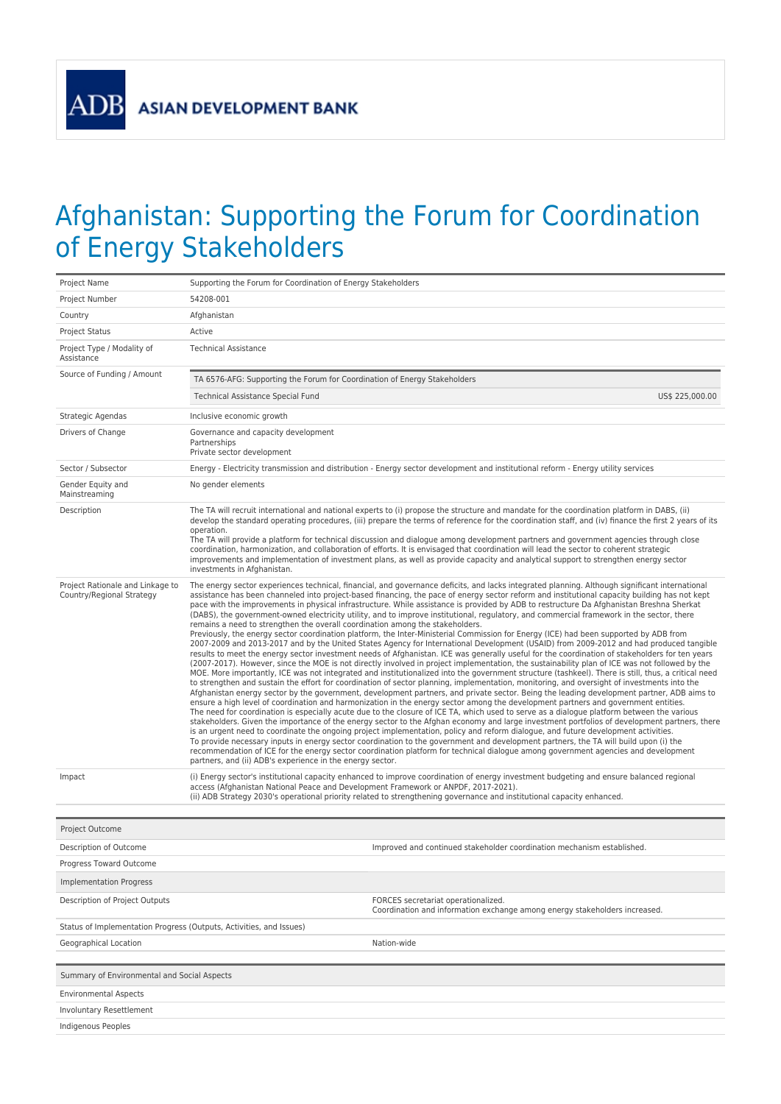## Afghanistan: Supporting the Forum for Coordination of Energy Stakeholders

| Project Name                                                        | Supporting the Forum for Coordination of Energy Stakeholders                                                                                                                                                                                                                                                                                                                                                                                                                                                                                                                                                                                                                                                                                                                                                                                                                                                                                                                                                                                                                                                                                                                                                                                                                                                                                                                                                                                                                                                                                                                                                                                                                                                                                                                                                                                                                                                                                                                                                                                                                                                                                                                                                                                                                                                                                                                                                                                                                                                                                                                                                                             |
|---------------------------------------------------------------------|------------------------------------------------------------------------------------------------------------------------------------------------------------------------------------------------------------------------------------------------------------------------------------------------------------------------------------------------------------------------------------------------------------------------------------------------------------------------------------------------------------------------------------------------------------------------------------------------------------------------------------------------------------------------------------------------------------------------------------------------------------------------------------------------------------------------------------------------------------------------------------------------------------------------------------------------------------------------------------------------------------------------------------------------------------------------------------------------------------------------------------------------------------------------------------------------------------------------------------------------------------------------------------------------------------------------------------------------------------------------------------------------------------------------------------------------------------------------------------------------------------------------------------------------------------------------------------------------------------------------------------------------------------------------------------------------------------------------------------------------------------------------------------------------------------------------------------------------------------------------------------------------------------------------------------------------------------------------------------------------------------------------------------------------------------------------------------------------------------------------------------------------------------------------------------------------------------------------------------------------------------------------------------------------------------------------------------------------------------------------------------------------------------------------------------------------------------------------------------------------------------------------------------------------------------------------------------------------------------------------------------------|
| Project Number                                                      | 54208-001                                                                                                                                                                                                                                                                                                                                                                                                                                                                                                                                                                                                                                                                                                                                                                                                                                                                                                                                                                                                                                                                                                                                                                                                                                                                                                                                                                                                                                                                                                                                                                                                                                                                                                                                                                                                                                                                                                                                                                                                                                                                                                                                                                                                                                                                                                                                                                                                                                                                                                                                                                                                                                |
| Country                                                             | Afghanistan                                                                                                                                                                                                                                                                                                                                                                                                                                                                                                                                                                                                                                                                                                                                                                                                                                                                                                                                                                                                                                                                                                                                                                                                                                                                                                                                                                                                                                                                                                                                                                                                                                                                                                                                                                                                                                                                                                                                                                                                                                                                                                                                                                                                                                                                                                                                                                                                                                                                                                                                                                                                                              |
| Project Status                                                      | Active                                                                                                                                                                                                                                                                                                                                                                                                                                                                                                                                                                                                                                                                                                                                                                                                                                                                                                                                                                                                                                                                                                                                                                                                                                                                                                                                                                                                                                                                                                                                                                                                                                                                                                                                                                                                                                                                                                                                                                                                                                                                                                                                                                                                                                                                                                                                                                                                                                                                                                                                                                                                                                   |
| Project Type / Modality of<br>Assistance                            | <b>Technical Assistance</b>                                                                                                                                                                                                                                                                                                                                                                                                                                                                                                                                                                                                                                                                                                                                                                                                                                                                                                                                                                                                                                                                                                                                                                                                                                                                                                                                                                                                                                                                                                                                                                                                                                                                                                                                                                                                                                                                                                                                                                                                                                                                                                                                                                                                                                                                                                                                                                                                                                                                                                                                                                                                              |
| Source of Funding / Amount                                          | TA 6576-AFG: Supporting the Forum for Coordination of Energy Stakeholders                                                                                                                                                                                                                                                                                                                                                                                                                                                                                                                                                                                                                                                                                                                                                                                                                                                                                                                                                                                                                                                                                                                                                                                                                                                                                                                                                                                                                                                                                                                                                                                                                                                                                                                                                                                                                                                                                                                                                                                                                                                                                                                                                                                                                                                                                                                                                                                                                                                                                                                                                                |
|                                                                     | US\$ 225,000.00<br>Technical Assistance Special Fund                                                                                                                                                                                                                                                                                                                                                                                                                                                                                                                                                                                                                                                                                                                                                                                                                                                                                                                                                                                                                                                                                                                                                                                                                                                                                                                                                                                                                                                                                                                                                                                                                                                                                                                                                                                                                                                                                                                                                                                                                                                                                                                                                                                                                                                                                                                                                                                                                                                                                                                                                                                     |
| Strategic Agendas                                                   | Inclusive economic growth                                                                                                                                                                                                                                                                                                                                                                                                                                                                                                                                                                                                                                                                                                                                                                                                                                                                                                                                                                                                                                                                                                                                                                                                                                                                                                                                                                                                                                                                                                                                                                                                                                                                                                                                                                                                                                                                                                                                                                                                                                                                                                                                                                                                                                                                                                                                                                                                                                                                                                                                                                                                                |
| Drivers of Change                                                   | Governance and capacity development<br>Partnerships<br>Private sector development                                                                                                                                                                                                                                                                                                                                                                                                                                                                                                                                                                                                                                                                                                                                                                                                                                                                                                                                                                                                                                                                                                                                                                                                                                                                                                                                                                                                                                                                                                                                                                                                                                                                                                                                                                                                                                                                                                                                                                                                                                                                                                                                                                                                                                                                                                                                                                                                                                                                                                                                                        |
| Sector / Subsector                                                  | Energy - Electricity transmission and distribution - Energy sector development and institutional reform - Energy utility services                                                                                                                                                                                                                                                                                                                                                                                                                                                                                                                                                                                                                                                                                                                                                                                                                                                                                                                                                                                                                                                                                                                                                                                                                                                                                                                                                                                                                                                                                                                                                                                                                                                                                                                                                                                                                                                                                                                                                                                                                                                                                                                                                                                                                                                                                                                                                                                                                                                                                                        |
| Gender Equity and<br>Mainstreaming                                  | No gender elements                                                                                                                                                                                                                                                                                                                                                                                                                                                                                                                                                                                                                                                                                                                                                                                                                                                                                                                                                                                                                                                                                                                                                                                                                                                                                                                                                                                                                                                                                                                                                                                                                                                                                                                                                                                                                                                                                                                                                                                                                                                                                                                                                                                                                                                                                                                                                                                                                                                                                                                                                                                                                       |
| Description                                                         | The TA will recruit international and national experts to (i) propose the structure and mandate for the coordination platform in DABS, (ii)<br>develop the standard operating procedures, (iii) prepare the terms of reference for the coordination staff, and (iv) finance the first 2 years of its<br>operation.<br>The TA will provide a platform for technical discussion and dialogue among development partners and government agencies through close<br>coordination, harmonization, and collaboration of efforts. It is envisaged that coordination will lead the sector to coherent strategic<br>improvements and implementation of investment plans, as well as provide capacity and analytical support to strengthen energy sector<br>investments in Afghanistan.                                                                                                                                                                                                                                                                                                                                                                                                                                                                                                                                                                                                                                                                                                                                                                                                                                                                                                                                                                                                                                                                                                                                                                                                                                                                                                                                                                                                                                                                                                                                                                                                                                                                                                                                                                                                                                                             |
| Project Rationale and Linkage to<br>Country/Regional Strategy       | The energy sector experiences technical, financial, and governance deficits, and lacks integrated planning. Although significant international<br>assistance has been channeled into project-based financing, the pace of energy sector reform and institutional capacity building has not kept<br>pace with the improvements in physical infrastructure. While assistance is provided by ADB to restructure Da Afghanistan Breshna Sherkat<br>(DABS), the government-owned electricity utility, and to improve institutional, regulatory, and commercial framework in the sector, there<br>remains a need to strengthen the overall coordination among the stakeholders.<br>Previously, the energy sector coordination platform, the Inter-Ministerial Commission for Energy (ICE) had been supported by ADB from<br>2007-2009 and 2013-2017 and by the United States Agency for International Development (USAID) from 2009-2012 and had produced tangible<br>results to meet the energy sector investment needs of Afghanistan. ICE was generally useful for the coordination of stakeholders for ten years<br>(2007-2017). However, since the MOE is not directly involved in project implementation, the sustainability plan of ICE was not followed by the<br>MOE. More importantly, ICE was not integrated and institutionalized into the government structure (tashkeel). There is still, thus, a critical need<br>to strengthen and sustain the effort for coordination of sector planning, implementation, monitoring, and oversight of investments into the<br>Afghanistan energy sector by the government, development partners, and private sector. Being the leading development partner, ADB aims to<br>ensure a high level of coordination and harmonization in the energy sector among the development partners and government entities.<br>The need for coordination is especially acute due to the closure of ICE TA, which used to serve as a dialogue platform between the various<br>stakeholders. Given the importance of the energy sector to the Afghan economy and large investment portfolios of development partners, there<br>is an urgent need to coordinate the ongoing project implementation, policy and reform dialogue, and future development activities.<br>To provide necessary inputs in energy sector coordination to the government and development partners, the TA will build upon (i) the<br>recommendation of ICE for the energy sector coordination platform for technical dialogue among government agencies and development<br>partners, and (ii) ADB's experience in the energy sector. |
| Impact                                                              | (i) Energy sector's institutional capacity enhanced to improve coordination of energy investment budgeting and ensure balanced regional<br>access (Afghanistan National Peace and Development Framework or ANPDF, 2017-2021).<br>(ii) ADB Strategy 2030's operational priority related to strengthening governance and institutional capacity enhanced.                                                                                                                                                                                                                                                                                                                                                                                                                                                                                                                                                                                                                                                                                                                                                                                                                                                                                                                                                                                                                                                                                                                                                                                                                                                                                                                                                                                                                                                                                                                                                                                                                                                                                                                                                                                                                                                                                                                                                                                                                                                                                                                                                                                                                                                                                  |
|                                                                     |                                                                                                                                                                                                                                                                                                                                                                                                                                                                                                                                                                                                                                                                                                                                                                                                                                                                                                                                                                                                                                                                                                                                                                                                                                                                                                                                                                                                                                                                                                                                                                                                                                                                                                                                                                                                                                                                                                                                                                                                                                                                                                                                                                                                                                                                                                                                                                                                                                                                                                                                                                                                                                          |
| Project Outcome                                                     |                                                                                                                                                                                                                                                                                                                                                                                                                                                                                                                                                                                                                                                                                                                                                                                                                                                                                                                                                                                                                                                                                                                                                                                                                                                                                                                                                                                                                                                                                                                                                                                                                                                                                                                                                                                                                                                                                                                                                                                                                                                                                                                                                                                                                                                                                                                                                                                                                                                                                                                                                                                                                                          |
| Description of Outcome                                              | Improved and continued stakeholder coordination mechanism established.                                                                                                                                                                                                                                                                                                                                                                                                                                                                                                                                                                                                                                                                                                                                                                                                                                                                                                                                                                                                                                                                                                                                                                                                                                                                                                                                                                                                                                                                                                                                                                                                                                                                                                                                                                                                                                                                                                                                                                                                                                                                                                                                                                                                                                                                                                                                                                                                                                                                                                                                                                   |
| Progress Toward Outcome                                             |                                                                                                                                                                                                                                                                                                                                                                                                                                                                                                                                                                                                                                                                                                                                                                                                                                                                                                                                                                                                                                                                                                                                                                                                                                                                                                                                                                                                                                                                                                                                                                                                                                                                                                                                                                                                                                                                                                                                                                                                                                                                                                                                                                                                                                                                                                                                                                                                                                                                                                                                                                                                                                          |
| <b>Implementation Progress</b>                                      |                                                                                                                                                                                                                                                                                                                                                                                                                                                                                                                                                                                                                                                                                                                                                                                                                                                                                                                                                                                                                                                                                                                                                                                                                                                                                                                                                                                                                                                                                                                                                                                                                                                                                                                                                                                                                                                                                                                                                                                                                                                                                                                                                                                                                                                                                                                                                                                                                                                                                                                                                                                                                                          |
| Description of Project Outputs                                      | FORCES secretariat operationalized.<br>Coordination and information exchange among energy stakeholders increased.                                                                                                                                                                                                                                                                                                                                                                                                                                                                                                                                                                                                                                                                                                                                                                                                                                                                                                                                                                                                                                                                                                                                                                                                                                                                                                                                                                                                                                                                                                                                                                                                                                                                                                                                                                                                                                                                                                                                                                                                                                                                                                                                                                                                                                                                                                                                                                                                                                                                                                                        |
| Status of Implementation Progress (Outputs, Activities, and Issues) |                                                                                                                                                                                                                                                                                                                                                                                                                                                                                                                                                                                                                                                                                                                                                                                                                                                                                                                                                                                                                                                                                                                                                                                                                                                                                                                                                                                                                                                                                                                                                                                                                                                                                                                                                                                                                                                                                                                                                                                                                                                                                                                                                                                                                                                                                                                                                                                                                                                                                                                                                                                                                                          |
| Geographical Location                                               | Nation-wide                                                                                                                                                                                                                                                                                                                                                                                                                                                                                                                                                                                                                                                                                                                                                                                                                                                                                                                                                                                                                                                                                                                                                                                                                                                                                                                                                                                                                                                                                                                                                                                                                                                                                                                                                                                                                                                                                                                                                                                                                                                                                                                                                                                                                                                                                                                                                                                                                                                                                                                                                                                                                              |
|                                                                     |                                                                                                                                                                                                                                                                                                                                                                                                                                                                                                                                                                                                                                                                                                                                                                                                                                                                                                                                                                                                                                                                                                                                                                                                                                                                                                                                                                                                                                                                                                                                                                                                                                                                                                                                                                                                                                                                                                                                                                                                                                                                                                                                                                                                                                                                                                                                                                                                                                                                                                                                                                                                                                          |
| Summary of Environmental and Social Aspects                         |                                                                                                                                                                                                                                                                                                                                                                                                                                                                                                                                                                                                                                                                                                                                                                                                                                                                                                                                                                                                                                                                                                                                                                                                                                                                                                                                                                                                                                                                                                                                                                                                                                                                                                                                                                                                                                                                                                                                                                                                                                                                                                                                                                                                                                                                                                                                                                                                                                                                                                                                                                                                                                          |
| <b>Environmental Aspects</b>                                        |                                                                                                                                                                                                                                                                                                                                                                                                                                                                                                                                                                                                                                                                                                                                                                                                                                                                                                                                                                                                                                                                                                                                                                                                                                                                                                                                                                                                                                                                                                                                                                                                                                                                                                                                                                                                                                                                                                                                                                                                                                                                                                                                                                                                                                                                                                                                                                                                                                                                                                                                                                                                                                          |
| Involuntary Resettlement                                            |                                                                                                                                                                                                                                                                                                                                                                                                                                                                                                                                                                                                                                                                                                                                                                                                                                                                                                                                                                                                                                                                                                                                                                                                                                                                                                                                                                                                                                                                                                                                                                                                                                                                                                                                                                                                                                                                                                                                                                                                                                                                                                                                                                                                                                                                                                                                                                                                                                                                                                                                                                                                                                          |
| <b>Indigenous Peoples</b>                                           |                                                                                                                                                                                                                                                                                                                                                                                                                                                                                                                                                                                                                                                                                                                                                                                                                                                                                                                                                                                                                                                                                                                                                                                                                                                                                                                                                                                                                                                                                                                                                                                                                                                                                                                                                                                                                                                                                                                                                                                                                                                                                                                                                                                                                                                                                                                                                                                                                                                                                                                                                                                                                                          |